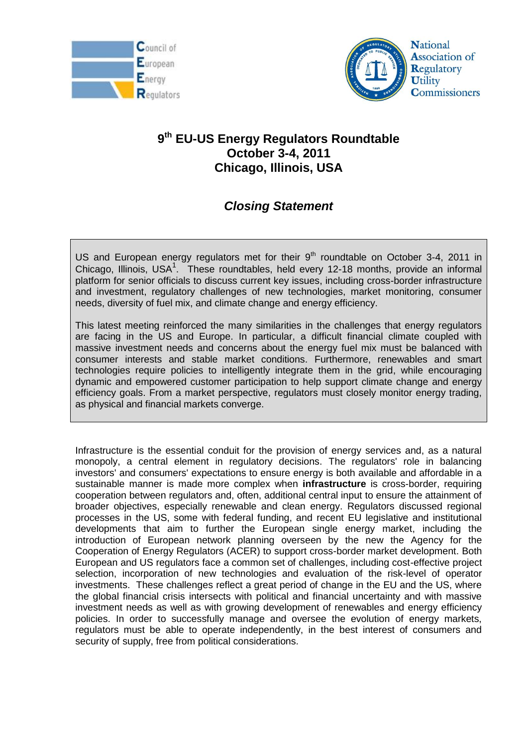



## **9 th EU-US Energy Regulators Roundtable October 3-4, 2011 Chicago, Illinois, USA**

## *Closing Statement*

US and European energy regulators met for their  $9<sup>th</sup>$  roundtable on October 3-4, 2011 in Chicago, Illinois, USA<sup>[1](#page-3-0)</sup>. These roundtables, held every 12-18 months, provide an informal platform for senior officials to discuss current key issues, including cross-border infrastructure and investment, regulatory challenges of new technologies, market monitoring, consumer needs, diversity of fuel mix, and climate change and energy efficiency.

This latest meeting reinforced the many similarities in the challenges that energy regulators are facing in the US and Europe. In particular, a difficult financial climate coupled with massive investment needs and concerns about the energy fuel mix must be balanced with consumer interests and stable market conditions. Furthermore, renewables and smart technologies require policies to intelligently integrate them in the grid, while encouraging dynamic and empowered customer participation to help support climate change and energy efficiency goals. From a market perspective, regulators must closely monitor energy trading, as physical and financial markets converge.

Infrastructure is the essential conduit for the provision of energy services and, as a natural monopoly, a central element in regulatory decisions. The regulators' role in balancing investors' and consumers' expectations to ensure energy is both available and affordable in a sustainable manner is made more complex when **infrastructure** is cross-border, requiring cooperation between regulators and, often, additional central input to ensure the attainment of broader objectives, especially renewable and clean energy. Regulators discussed regional processes in the US, some with federal funding, and recent EU legislative and institutional developments that aim to further the European single energy market, including the introduction of European network planning overseen by the new the Agency for the Cooperation of Energy Regulators (ACER) to support cross-border market development. Both European and US regulators face a common set of challenges, including cost-effective project selection, incorporation of new technologies and evaluation of the risk-level of operator investments. These challenges reflect a great period of change in the EU and the US, where the global financial crisis intersects with political and financial uncertainty and with massive investment needs as well as with growing development of renewables and energy efficiency policies. In order to successfully manage and oversee the evolution of energy markets, regulators must be able to operate independently, in the best interest of consumers and security of supply, free from political considerations.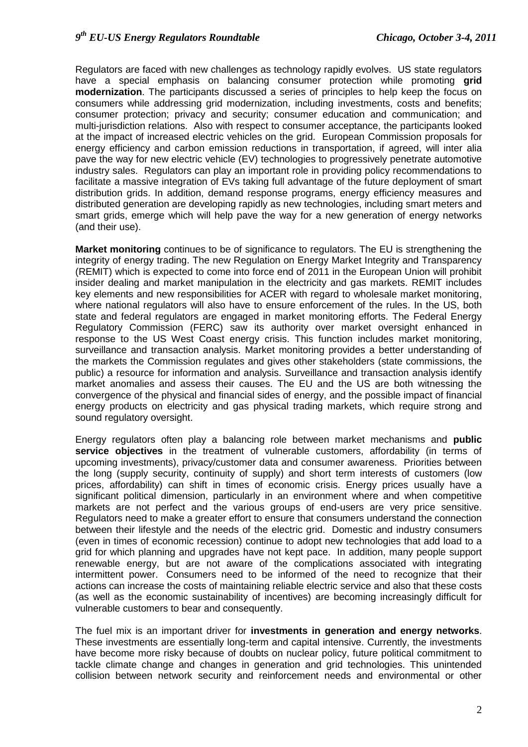Regulators are faced with new challenges as technology rapidly evolves. US state regulators have a special emphasis on balancing consumer protection while promoting **grid modernization**. The participants discussed a series of principles to help keep the focus on consumers while addressing grid modernization, including investments, costs and benefits; consumer protection; privacy and security; consumer education and communication; and multi-jurisdiction relations. Also with respect to consumer acceptance, the participants looked at the impact of increased electric vehicles on the grid. European Commission proposals for energy efficiency and carbon emission reductions in transportation, if agreed, will inter alia pave the way for new electric vehicle (EV) technologies to progressively penetrate automotive industry sales. Regulators can play an important role in providing policy recommendations to facilitate a massive integration of EVs taking full advantage of the future deployment of smart distribution grids. In addition, demand response programs, energy efficiency measures and distributed generation are developing rapidly as new technologies, including smart meters and smart grids, emerge which will help pave the way for a new generation of energy networks (and their use).

**Market monitoring** continues to be of significance to regulators. The EU is strengthening the integrity of energy trading. The new Regulation on Energy Market Integrity and Transparency (REMIT) which is expected to come into force end of 2011 in the European Union will prohibit insider dealing and market manipulation in the electricity and gas markets. REMIT includes key elements and new responsibilities for ACER with regard to wholesale market monitoring, where national regulators will also have to ensure enforcement of the rules. In the US, both state and federal regulators are engaged in market monitoring efforts. The Federal Energy Regulatory Commission (FERC) saw its authority over market oversight enhanced in response to the US West Coast energy crisis. This function includes market monitoring, surveillance and transaction analysis. Market monitoring provides a better understanding of the markets the Commission regulates and gives other stakeholders (state commissions, the public) a resource for information and analysis. Surveillance and transaction analysis identify market anomalies and assess their causes. The EU and the US are both witnessing the convergence of the physical and financial sides of energy, and the possible impact of financial energy products on electricity and gas physical trading markets, which require strong and sound regulatory oversight.

Energy regulators often play a balancing role between market mechanisms and **public service objectives** in the treatment of vulnerable customers, affordability (in terms of upcoming investments), privacy/customer data and consumer awareness. Priorities between the long (supply security, continuity of supply) and short term interests of customers (low prices, affordability) can shift in times of economic crisis. Energy prices usually have a significant political dimension, particularly in an environment where and when competitive markets are not perfect and the various groups of end-users are very price sensitive. Regulators need to make a greater effort to ensure that consumers understand the connection between their lifestyle and the needs of the electric grid. Domestic and industry consumers (even in times of economic recession) continue to adopt new technologies that add load to a grid for which planning and upgrades have not kept pace. In addition, many people support renewable energy, but are not aware of the complications associated with integrating intermittent power. Consumers need to be informed of the need to recognize that their actions can increase the costs of maintaining reliable electric service and also that these costs (as well as the economic sustainability of incentives) are becoming increasingly difficult for vulnerable customers to bear and consequently.

The fuel mix is an important driver for **investments in generation and energy networks**. These investments are essentially long-term and capital intensive. Currently, the investments have become more risky because of doubts on nuclear policy, future political commitment to tackle climate change and changes in generation and grid technologies. This unintended collision between network security and reinforcement needs and environmental or other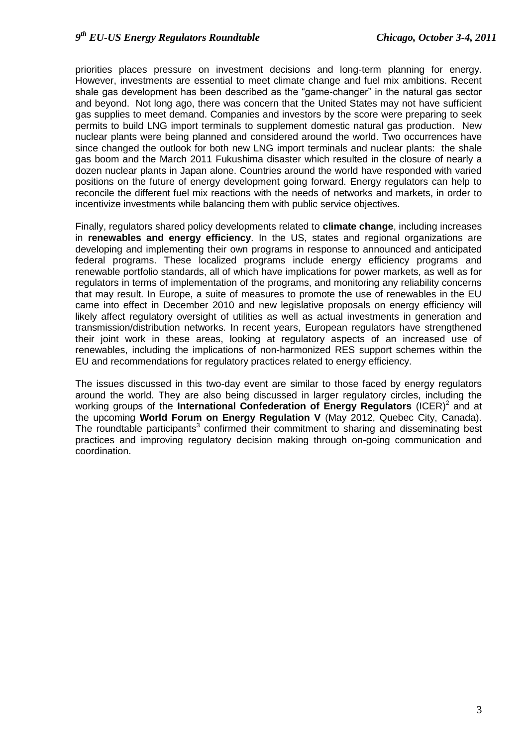priorities places pressure on investment decisions and long-term planning for energy. However, investments are essential to meet climate change and fuel mix ambitions. Recent shale gas development has been described as the "game-changer" in the natural gas sector and beyond. Not long ago, there was concern that the United States may not have sufficient gas supplies to meet demand. Companies and investors by the score were preparing to seek permits to build LNG import terminals to supplement domestic natural gas production. New nuclear plants were being planned and considered around the world. Two occurrences have since changed the outlook for both new LNG import terminals and nuclear plants: the shale gas boom and the March 2011 Fukushima disaster which resulted in the closure of nearly a dozen nuclear plants in Japan alone. Countries around the world have responded with varied positions on the future of energy development going forward. Energy regulators can help to reconcile the different fuel mix reactions with the needs of networks and markets, in order to incentivize investments while balancing them with public service objectives.

Finally, regulators shared policy developments related to **climate change**, including increases in **renewables and energy efficiency**. In the US, states and regional organizations are developing and implementing their own programs in response to announced and anticipated federal programs. These localized programs include energy efficiency programs and renewable portfolio standards, all of which have implications for power markets, as well as for regulators in terms of implementation of the programs, and monitoring any reliability concerns that may result. In Europe, a suite of measures to promote the use of renewables in the EU came into effect in December 2010 and new legislative proposals on energy efficiency will likely affect regulatory oversight of utilities as well as actual investments in generation and transmission/distribution networks. In recent years, European regulators have strengthened their joint work in these areas, looking at regulatory aspects of an increased use of renewables, including the implications of non-harmonized RES support schemes within the EU and recommendations for regulatory practices related to energy efficiency.

The issues discussed in this two-day event are similar to those faced by energy regulators around the world. They are also being discussed in larger regulatory circles, including the working groups of the **International Confederation of Energy Regulators** (ICER[\)](#page-3-1)<sup>2</sup> and at the upcoming **World Forum on Energy Regulation V** (May 2012, Quebec City, Canada). The roundtable participant[s](#page-3-2)<sup>3</sup> confirmed their commitment to sharing and disseminating best practices and improving regulatory decision making through on-going communication and coordination.